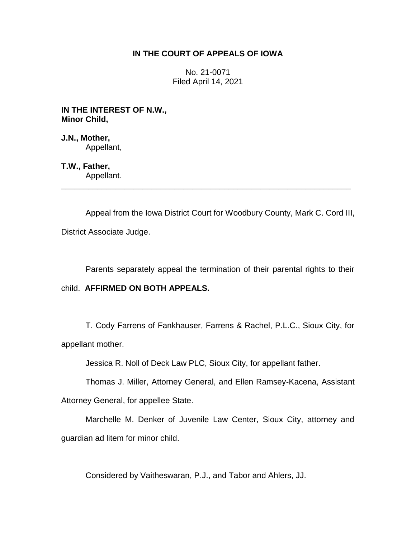# **IN THE COURT OF APPEALS OF IOWA**

No. 21-0071 Filed April 14, 2021

**IN THE INTEREST OF N.W., Minor Child,**

**J.N., Mother,** Appellant,

**T.W., Father,** Appellant.

Appeal from the Iowa District Court for Woodbury County, Mark C. Cord III, District Associate Judge.

\_\_\_\_\_\_\_\_\_\_\_\_\_\_\_\_\_\_\_\_\_\_\_\_\_\_\_\_\_\_\_\_\_\_\_\_\_\_\_\_\_\_\_\_\_\_\_\_\_\_\_\_\_\_\_\_\_\_\_\_\_\_\_\_

Parents separately appeal the termination of their parental rights to their

# child. **AFFIRMED ON BOTH APPEALS.**

T. Cody Farrens of Fankhauser, Farrens & Rachel, P.L.C., Sioux City, for appellant mother.

Jessica R. Noll of Deck Law PLC, Sioux City, for appellant father.

Thomas J. Miller, Attorney General, and Ellen Ramsey-Kacena, Assistant

Attorney General, for appellee State.

Marchelle M. Denker of Juvenile Law Center, Sioux City, attorney and guardian ad litem for minor child.

Considered by Vaitheswaran, P.J., and Tabor and Ahlers, JJ.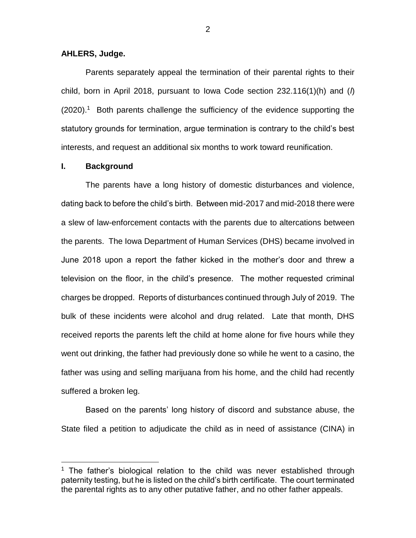## **AHLERS, Judge.**

Parents separately appeal the termination of their parental rights to their child, born in April 2018, pursuant to Iowa Code section 232.116(1)(h) and (*l*) (2020).<sup>1</sup> Both parents challenge the sufficiency of the evidence supporting the statutory grounds for termination, argue termination is contrary to the child's best interests, and request an additional six months to work toward reunification.

## **I. Background**

 $\overline{a}$ 

The parents have a long history of domestic disturbances and violence, dating back to before the child's birth. Between mid-2017 and mid-2018 there were a slew of law-enforcement contacts with the parents due to altercations between the parents. The Iowa Department of Human Services (DHS) became involved in June 2018 upon a report the father kicked in the mother's door and threw a television on the floor, in the child's presence. The mother requested criminal charges be dropped. Reports of disturbances continued through July of 2019. The bulk of these incidents were alcohol and drug related. Late that month, DHS received reports the parents left the child at home alone for five hours while they went out drinking, the father had previously done so while he went to a casino, the father was using and selling marijuana from his home, and the child had recently suffered a broken leg.

Based on the parents' long history of discord and substance abuse, the State filed a petition to adjudicate the child as in need of assistance (CINA) in

<sup>&</sup>lt;sup>1</sup> The father's biological relation to the child was never established through paternity testing, but he is listed on the child's birth certificate. The court terminated the parental rights as to any other putative father, and no other father appeals.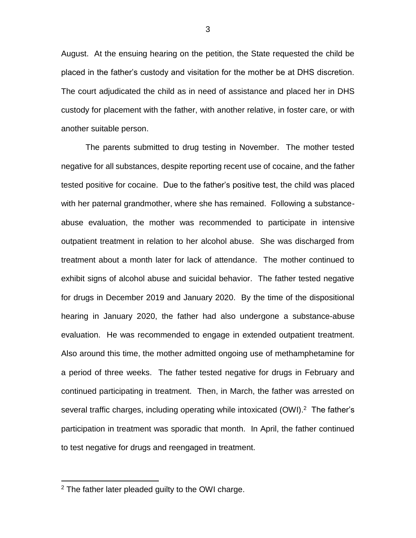August. At the ensuing hearing on the petition, the State requested the child be placed in the father's custody and visitation for the mother be at DHS discretion. The court adjudicated the child as in need of assistance and placed her in DHS custody for placement with the father, with another relative, in foster care, or with another suitable person.

The parents submitted to drug testing in November. The mother tested negative for all substances, despite reporting recent use of cocaine, and the father tested positive for cocaine. Due to the father's positive test, the child was placed with her paternal grandmother, where she has remained. Following a substanceabuse evaluation, the mother was recommended to participate in intensive outpatient treatment in relation to her alcohol abuse. She was discharged from treatment about a month later for lack of attendance. The mother continued to exhibit signs of alcohol abuse and suicidal behavior. The father tested negative for drugs in December 2019 and January 2020. By the time of the dispositional hearing in January 2020, the father had also undergone a substance-abuse evaluation. He was recommended to engage in extended outpatient treatment. Also around this time, the mother admitted ongoing use of methamphetamine for a period of three weeks. The father tested negative for drugs in February and continued participating in treatment. Then, in March, the father was arrested on several traffic charges, including operating while intoxicated (OWI).<sup>2</sup> The father's participation in treatment was sporadic that month. In April, the father continued to test negative for drugs and reengaged in treatment.

 $\overline{a}$ 

<sup>2</sup> The father later pleaded guilty to the OWI charge.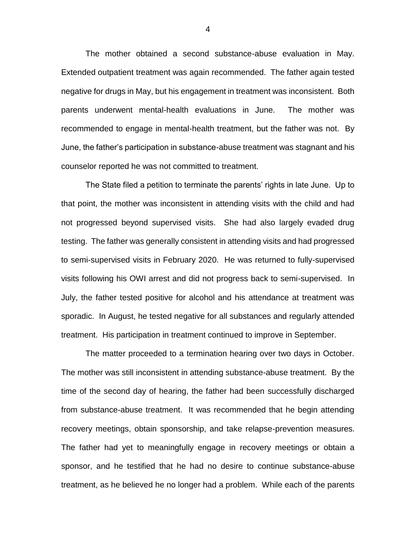The mother obtained a second substance-abuse evaluation in May. Extended outpatient treatment was again recommended. The father again tested negative for drugs in May, but his engagement in treatment was inconsistent. Both parents underwent mental-health evaluations in June. The mother was recommended to engage in mental-health treatment, but the father was not. By June, the father's participation in substance-abuse treatment was stagnant and his counselor reported he was not committed to treatment.

The State filed a petition to terminate the parents' rights in late June. Up to that point, the mother was inconsistent in attending visits with the child and had not progressed beyond supervised visits. She had also largely evaded drug testing. The father was generally consistent in attending visits and had progressed to semi-supervised visits in February 2020. He was returned to fully-supervised visits following his OWI arrest and did not progress back to semi-supervised. In July, the father tested positive for alcohol and his attendance at treatment was sporadic. In August, he tested negative for all substances and regularly attended treatment. His participation in treatment continued to improve in September.

The matter proceeded to a termination hearing over two days in October. The mother was still inconsistent in attending substance-abuse treatment. By the time of the second day of hearing, the father had been successfully discharged from substance-abuse treatment. It was recommended that he begin attending recovery meetings, obtain sponsorship, and take relapse-prevention measures. The father had yet to meaningfully engage in recovery meetings or obtain a sponsor, and he testified that he had no desire to continue substance-abuse treatment, as he believed he no longer had a problem. While each of the parents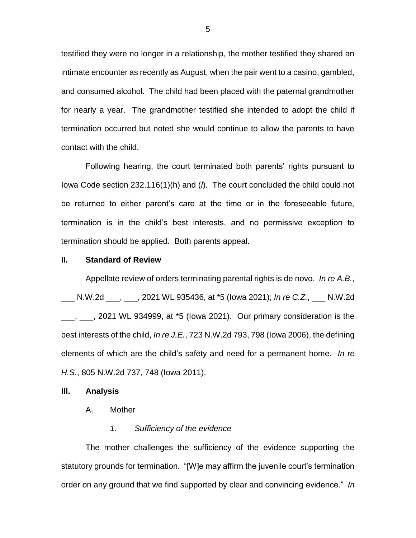testified they were no longer in a relationship, the mother testified they shared an intimate encounter as recently as August, when the pair went to a casino, gambled, and consumed alcohol. The child had been placed with the paternal grandmother for nearly a year. The grandmother testified she intended to adopt the child if termination occurred but noted she would continue to allow the parents to have contact with the child.

Following hearing, the court terminated both parents' rights pursuant to Iowa Code section 232.116(1)(h) and (*l*). The court concluded the child could not be returned to either parent's care at the time or in the foreseeable future, termination is in the child's best interests, and no permissive exception to termination should be applied. Both parents appeal.

## **II. Standard of Review**

Appellate review of orders terminating parental rights is de novo. *In re A.B.*, \_\_\_ N.W.2d \_\_\_, \_\_\_, 2021 WL 935436, at \*5 (Iowa 2021); *In re C.Z.*, \_\_\_ N.W.2d  $\frac{1}{1}$ ,  $\frac{1}{1}$ , 2021 WL 934999, at  $*5$  (lowa 2021). Our primary consideration is the best interests of the child, *In re J.E.*, 723 N.W.2d 793, 798 (Iowa 2006), the defining elements of which are the child's safety and need for a permanent home. *In re H.S.*, 805 N.W.2d 737, 748 (Iowa 2011).

### **III. Analysis**

A. Mother

## *1. Sufficiency of the evidence*

The mother challenges the sufficiency of the evidence supporting the statutory grounds for termination. "[W]e may affirm the juvenile court's termination order on any ground that we find supported by clear and convincing evidence." *In*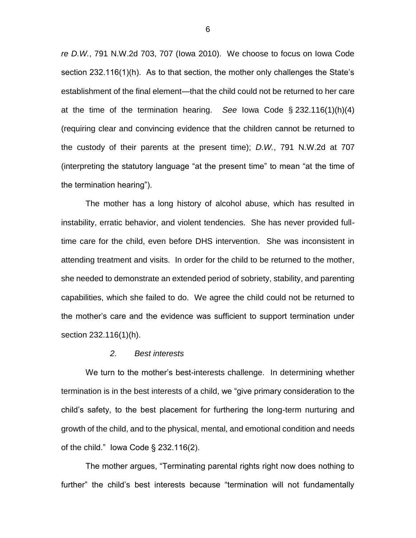*re D.W.*, 791 N.W.2d 703, 707 (Iowa 2010). We choose to focus on Iowa Code section 232.116(1)(h). As to that section, the mother only challenges the State's establishment of the final element—that the child could not be returned to her care at the time of the termination hearing. *See* Iowa Code § 232.116(1)(h)(4) (requiring clear and convincing evidence that the children cannot be returned to the custody of their parents at the present time); *D.W.*, 791 N.W.2d at 707 (interpreting the statutory language "at the present time" to mean "at the time of the termination hearing").

The mother has a long history of alcohol abuse, which has resulted in instability, erratic behavior, and violent tendencies. She has never provided fulltime care for the child, even before DHS intervention. She was inconsistent in attending treatment and visits. In order for the child to be returned to the mother, she needed to demonstrate an extended period of sobriety, stability, and parenting capabilities, which she failed to do. We agree the child could not be returned to the mother's care and the evidence was sufficient to support termination under section 232.116(1)(h).

#### *2. Best interests*

We turn to the mother's best-interests challenge. In determining whether termination is in the best interests of a child, we "give primary consideration to the child's safety, to the best placement for furthering the long-term nurturing and growth of the child, and to the physical, mental, and emotional condition and needs of the child." Iowa Code § 232.116(2).

The mother argues, "Terminating parental rights right now does nothing to further" the child's best interests because "termination will not fundamentally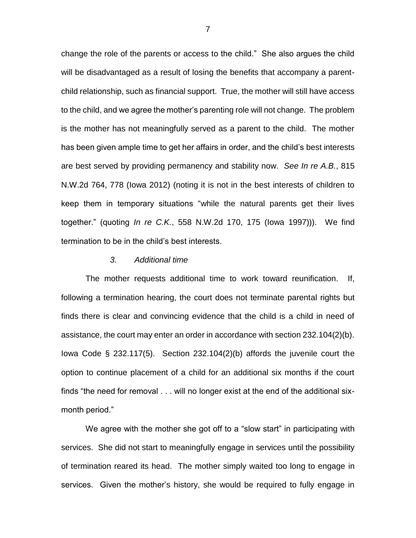change the role of the parents or access to the child." She also argues the child will be disadvantaged as a result of losing the benefits that accompany a parentchild relationship, such as financial support. True, the mother will still have access to the child, and we agree the mother's parenting role will not change. The problem is the mother has not meaningfully served as a parent to the child. The mother has been given ample time to get her affairs in order, and the child's best interests are best served by providing permanency and stability now. *See In re A.B.*, 815 N.W.2d 764, 778 (Iowa 2012) (noting it is not in the best interests of children to keep them in temporary situations "while the natural parents get their lives together." (quoting *In re C.K.*, 558 N.W.2d 170, 175 (Iowa 1997))). We find termination to be in the child's best interests.

#### *3. Additional time*

The mother requests additional time to work toward reunification. If, following a termination hearing, the court does not terminate parental rights but finds there is clear and convincing evidence that the child is a child in need of assistance, the court may enter an order in accordance with section 232.104(2)(b). Iowa Code § 232.117(5). Section 232.104(2)(b) affords the juvenile court the option to continue placement of a child for an additional six months if the court finds "the need for removal . . . will no longer exist at the end of the additional sixmonth period."

We agree with the mother she got off to a "slow start" in participating with services. She did not start to meaningfully engage in services until the possibility of termination reared its head. The mother simply waited too long to engage in services. Given the mother's history, she would be required to fully engage in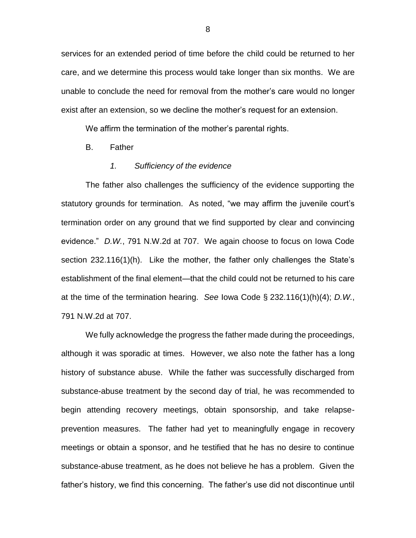services for an extended period of time before the child could be returned to her care, and we determine this process would take longer than six months. We are unable to conclude the need for removal from the mother's care would no longer exist after an extension, so we decline the mother's request for an extension.

We affirm the termination of the mother's parental rights.

B. Father

#### *1. Sufficiency of the evidence*

The father also challenges the sufficiency of the evidence supporting the statutory grounds for termination. As noted, "we may affirm the juvenile court's termination order on any ground that we find supported by clear and convincing evidence." *D.W.*, 791 N.W.2d at 707. We again choose to focus on Iowa Code section 232.116(1)(h). Like the mother, the father only challenges the State's establishment of the final element—that the child could not be returned to his care at the time of the termination hearing. *See* Iowa Code § 232.116(1)(h)(4); *D.W.*, 791 N.W.2d at 707.

We fully acknowledge the progress the father made during the proceedings, although it was sporadic at times. However, we also note the father has a long history of substance abuse. While the father was successfully discharged from substance-abuse treatment by the second day of trial, he was recommended to begin attending recovery meetings, obtain sponsorship, and take relapseprevention measures. The father had yet to meaningfully engage in recovery meetings or obtain a sponsor, and he testified that he has no desire to continue substance-abuse treatment, as he does not believe he has a problem. Given the father's history, we find this concerning. The father's use did not discontinue until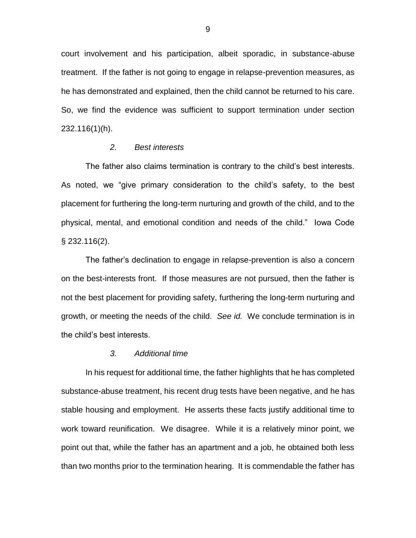court involvement and his participation, albeit sporadic, in substance-abuse treatment. If the father is not going to engage in relapse-prevention measures, as he has demonstrated and explained, then the child cannot be returned to his care. So, we find the evidence was sufficient to support termination under section 232.116(1)(h).

### *2. Best interests*

The father also claims termination is contrary to the child's best interests. As noted, we "give primary consideration to the child's safety, to the best placement for furthering the long-term nurturing and growth of the child, and to the physical, mental, and emotional condition and needs of the child." Iowa Code § 232.116(2).

The father's declination to engage in relapse-prevention is also a concern on the best-interests front. If those measures are not pursued, then the father is not the best placement for providing safety, furthering the long-term nurturing and growth, or meeting the needs of the child. *See id.* We conclude termination is in the child's best interests.

### *3. Additional time*

In his request for additional time, the father highlights that he has completed substance-abuse treatment, his recent drug tests have been negative, and he has stable housing and employment. He asserts these facts justify additional time to work toward reunification. We disagree. While it is a relatively minor point, we point out that, while the father has an apartment and a job, he obtained both less than two months prior to the termination hearing. It is commendable the father has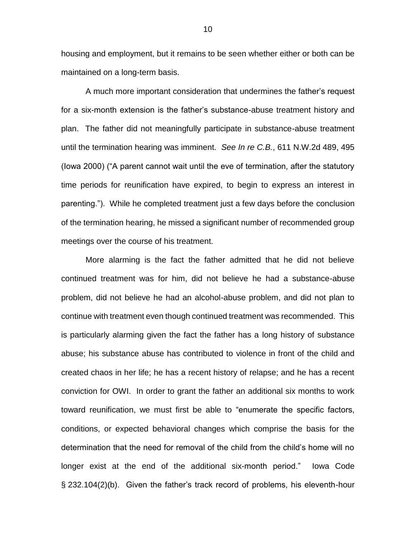housing and employment, but it remains to be seen whether either or both can be maintained on a long-term basis.

A much more important consideration that undermines the father's request for a six-month extension is the father's substance-abuse treatment history and plan. The father did not meaningfully participate in substance-abuse treatment until the termination hearing was imminent. *See In re C.B.*, 611 N.W.2d 489, 495 (Iowa 2000) ("A parent cannot wait until the eve of termination, after the statutory time periods for reunification have expired, to begin to express an interest in parenting."). While he completed treatment just a few days before the conclusion of the termination hearing, he missed a significant number of recommended group meetings over the course of his treatment.

More alarming is the fact the father admitted that he did not believe continued treatment was for him, did not believe he had a substance-abuse problem, did not believe he had an alcohol-abuse problem, and did not plan to continue with treatment even though continued treatment was recommended. This is particularly alarming given the fact the father has a long history of substance abuse; his substance abuse has contributed to violence in front of the child and created chaos in her life; he has a recent history of relapse; and he has a recent conviction for OWI. In order to grant the father an additional six months to work toward reunification, we must first be able to "enumerate the specific factors, conditions, or expected behavioral changes which comprise the basis for the determination that the need for removal of the child from the child's home will no longer exist at the end of the additional six-month period." Iowa Code § 232.104(2)(b). Given the father's track record of problems, his eleventh-hour